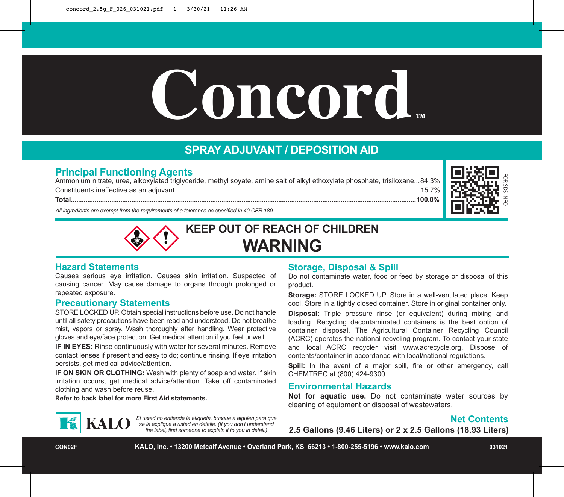# $$

# **SPRAY ADJUVANT / DEPOSITION AID**

## **Principal Functioning Agents**

Ammonium nitrate, urea, alkoxylated triglyceride, methyl soyate, amine salt of alkyl ethoxylate phosphate, trisiloxane...84.3% Constituents ineffective as an adjuvant.............................................................................................................................. 15.7% **Total............................................................................................................................................................................................100.0%**



*All ingredients are exempt from the requirements of a tolerance as specified in 40 CFR 180.*



### **Hazard Statements**

Causes serious eye irritation. Causes skin irritation. Suspected of causing cancer. May cause damage to organs through prolonged or repeated exposure.

### **Precautionary Statements**

STORE LOCKED UP. Obtain special instructions before use. Do not handle until all safety precautions have been read and understood. Do not breathe mist, vapors or spray. Wash thoroughly after handling. Wear protective gloves and eye/face protection. Get medical attention if you feel unwell.

**IF IN EYES:** Rinse continuously with water for several minutes. Remove contact lenses if present and easy to do; continue rinsing. If eye irritation persists, get medical advice/attention.

**IF ON SKIN OR CLOTHING:** Wash with plenty of soap and water. If skin irritation occurs, get medical advice/attention. Take off contaminated clothing and wash before reuse.

*Si usted no entiende la etiqueta, busque a alguien para que se la explique a usted en detalle. (If you don't understand the label, find someone to explain it to you in detail.)*

**Refer to back label for more First Aid statements.**

### **Storage, Disposal & Spill**

Do not contaminate water, food or feed by storage or disposal of this product.

**Storage:** STORE LOCKED UP. Store in a well-ventilated place. Keep cool. Store in a tightly closed container. Store in original container only.

**Disposal:** Triple pressure rinse (or equivalent) during mixing and loading. Recycling decontaminated containers is the best option of container disposal. The Agricultural Container Recycling Council (ACRC) operates the national recycling program. To contact your state and local ACRC recycler visit www.acrecycle.org. Dispose of contents/container in accordance with local/national regulations.

Spill: In the event of a major spill, fire or other emergency, call CHEMTREC at (800) 424-9300.

### **Environmental Hazards**

**Not for aquatic use.** Do not contaminate water sources by cleaning of equipment or disposal of wastewaters.

### **Net Contents**

**2.5 Gallons (9.46 Liters) or 2 x 2.5 Gallons (18.93 Liters)**

**CON02F KALO, Inc. • 13200 Metcalf Avenue • Overland Park, KS 66213 • 1-800-255-5196 • www.kalo.com 031021**